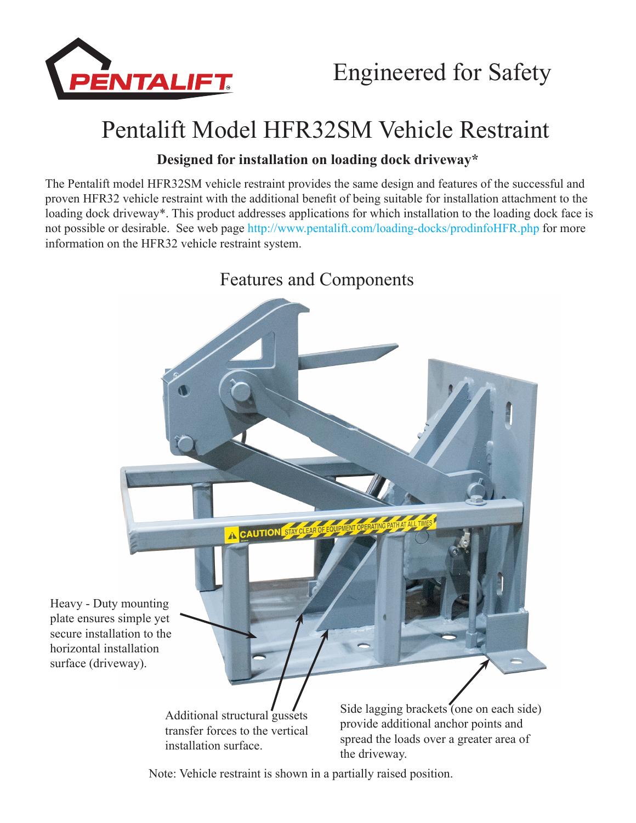

## Pentalift Model HFR32SM Vehicle Restraint

## **Designed for installation on loading dock driveway\***

The Pentalift model HFR32SM vehicle restraint provides the same design and features of the successful and proven HFR32 vehicle restraint with the additional benefit of being suitable for installation attachment to the loading dock driveway\*. This product addresses applications for which installation to the loading dock face is not possible or desirable. See web page http://www.pentalift.com/loading-docks/prodinfoHFR.php for more information on the HFR32 vehicle restraint system.



Note: Vehicle restraint is shown in a partially raised position.